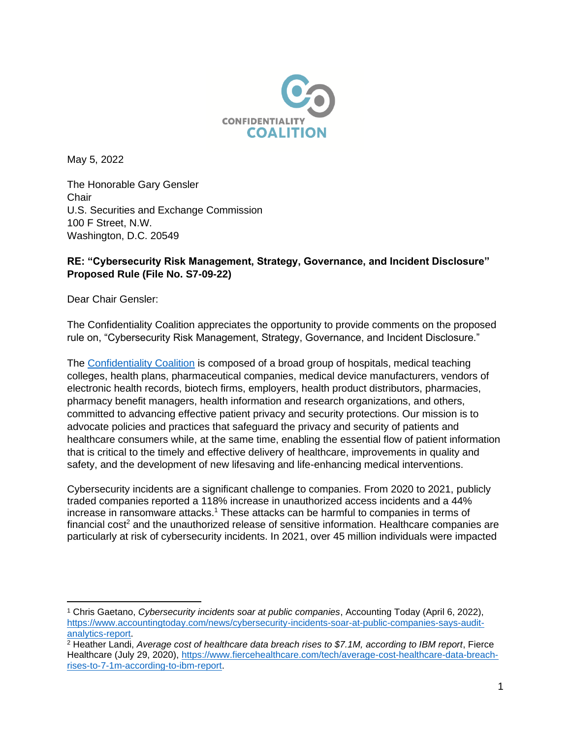

May 5, 2022

The Honorable Gary Gensler **Chair** U.S. Securities and Exchange Commission 100 F Street, N.W. Washington, D.C. 20549

## **RE: "Cybersecurity Risk Management, Strategy, Governance, and Incident Disclosure" Proposed Rule (File No. S7-09-22)**

Dear Chair Gensler:

The Confidentiality Coalition appreciates the opportunity to provide comments on the proposed rule on, "Cybersecurity Risk Management, Strategy, Governance, and Incident Disclosure."

The [Confidentiality Coalition](https://www.confidentialitycoalition.org/) is composed of a broad group of hospitals, medical teaching colleges, health plans, pharmaceutical companies, medical device manufacturers, vendors of electronic health records, biotech firms, employers, health product distributors, pharmacies, pharmacy benefit managers, health information and research organizations, and others, committed to advancing effective patient privacy and security protections. Our mission is to advocate policies and practices that safeguard the privacy and security of patients and healthcare consumers while, at the same time, enabling the essential flow of patient information that is critical to the timely and effective delivery of healthcare, improvements in quality and safety, and the development of new lifesaving and life-enhancing medical interventions.

Cybersecurity incidents are a significant challenge to companies. From 2020 to 2021, publicly traded companies reported a 118% increase in unauthorized access incidents and a 44% increase in ransomware attacks.<sup>1</sup> These attacks can be harmful to companies in terms of financial cost<sup>2</sup> and the unauthorized release of sensitive information. Healthcare companies are particularly at risk of cybersecurity incidents. In 2021, over 45 million individuals were impacted

<sup>1</sup> Chris Gaetano, *Cybersecurity incidents soar at public companies*, Accounting Today (April 6, 2022), [https://www.accountingtoday.com/news/cybersecurity-incidents-soar-at-public-companies-says-audit](https://www.accountingtoday.com/news/cybersecurity-incidents-soar-at-public-companies-says-audit-analytics-report)[analytics-report.](https://www.accountingtoday.com/news/cybersecurity-incidents-soar-at-public-companies-says-audit-analytics-report)

<sup>2</sup> Heather Landi, *Average cost of healthcare data breach rises to \$7.1M, according to IBM report*, Fierce Healthcare (July 29, 2020), [https://www.fiercehealthcare.com/tech/average-cost-healthcare-data-breach](https://www.fiercehealthcare.com/tech/average-cost-healthcare-data-breach-rises-to-7-1m-according-to-ibm-report)[rises-to-7-1m-according-to-ibm-report.](https://www.fiercehealthcare.com/tech/average-cost-healthcare-data-breach-rises-to-7-1m-according-to-ibm-report)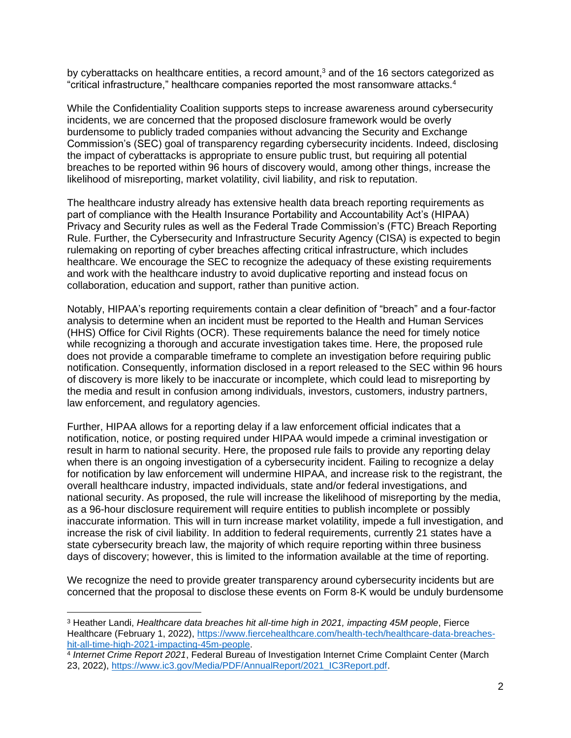by cyberattacks on healthcare entities, a record amount,<sup>3</sup> and of the 16 sectors categorized as "critical infrastructure," healthcare companies reported the most ransomware attacks.<sup>4</sup>

While the Confidentiality Coalition supports steps to increase awareness around cybersecurity incidents, we are concerned that the proposed disclosure framework would be overly burdensome to publicly traded companies without advancing the Security and Exchange Commission's (SEC) goal of transparency regarding cybersecurity incidents. Indeed, disclosing the impact of cyberattacks is appropriate to ensure public trust, but requiring all potential breaches to be reported within 96 hours of discovery would, among other things, increase the likelihood of misreporting, market volatility, civil liability, and risk to reputation.

The healthcare industry already has extensive health data breach reporting requirements as part of compliance with the Health Insurance Portability and Accountability Act's (HIPAA) Privacy and Security rules as well as the Federal Trade Commission's (FTC) Breach Reporting Rule. Further, the Cybersecurity and Infrastructure Security Agency (CISA) is expected to begin rulemaking on reporting of cyber breaches affecting critical infrastructure, which includes healthcare. We encourage the SEC to recognize the adequacy of these existing requirements and work with the healthcare industry to avoid duplicative reporting and instead focus on collaboration, education and support, rather than punitive action.

Notably, HIPAA's reporting requirements contain a clear definition of "breach" and a four-factor analysis to determine when an incident must be reported to the Health and Human Services (HHS) Office for Civil Rights (OCR). These requirements balance the need for timely notice while recognizing a thorough and accurate investigation takes time. Here, the proposed rule does not provide a comparable timeframe to complete an investigation before requiring public notification. Consequently, information disclosed in a report released to the SEC within 96 hours of discovery is more likely to be inaccurate or incomplete, which could lead to misreporting by the media and result in confusion among individuals, investors, customers, industry partners, law enforcement, and regulatory agencies.

Further, HIPAA allows for a reporting delay if a law enforcement official indicates that a notification, notice, or posting required under HIPAA would impede a criminal investigation or result in harm to national security. Here, the proposed rule fails to provide any reporting delay when there is an ongoing investigation of a cybersecurity incident. Failing to recognize a delay for notification by law enforcement will undermine HIPAA, and increase risk to the registrant, the overall healthcare industry, impacted individuals, state and/or federal investigations, and national security. As proposed, the rule will increase the likelihood of misreporting by the media, as a 96-hour disclosure requirement will require entities to publish incomplete or possibly inaccurate information. This will in turn increase market volatility, impede a full investigation, and increase the risk of civil liability. In addition to federal requirements, currently 21 states have a state cybersecurity breach law, the majority of which require reporting within three business days of discovery; however, this is limited to the information available at the time of reporting.

We recognize the need to provide greater transparency around cybersecurity incidents but are concerned that the proposal to disclose these events on Form 8-K would be unduly burdensome

<sup>3</sup> Heather Landi, *Healthcare data breaches hit all-time high in 2021, impacting 45M people*, Fierce Healthcare (February 1, 2022), [https://www.fiercehealthcare.com/health-tech/healthcare-data-breaches](https://www.fiercehealthcare.com/health-tech/healthcare-data-breaches-hit-all-time-high-2021-impacting-45m-people)[hit-all-time-high-2021-impacting-45m-people.](https://www.fiercehealthcare.com/health-tech/healthcare-data-breaches-hit-all-time-high-2021-impacting-45m-people)

<sup>4</sup> *Internet Crime Report 2021*, Federal Bureau of Investigation Internet Crime Complaint Center (March 23, 2022), [https://www.ic3.gov/Media/PDF/AnnualReport/2021\\_IC3Report.pdf.](https://www.ic3.gov/Media/PDF/AnnualReport/2021_IC3Report.pdf)